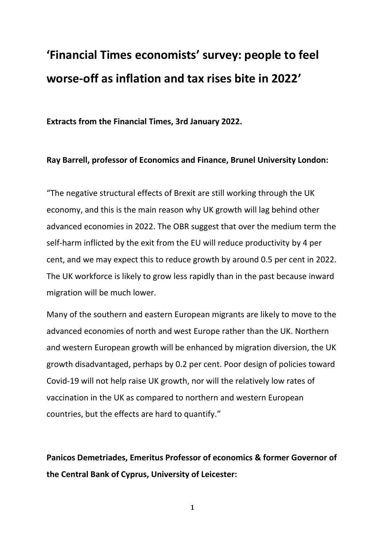# **'Financial Times economists' survey: people to feel worse-off as inflation and tax rises bite in 2022'**

**Extracts from the Financial Times, 3rd January 2022.**

### **Ray Barrell, professor of Economics and Finance, Brunel University London:**

"The negative structural effects of Brexit are still working through the UK economy, and this is the main reason why UK growth will lag behind other advanced economies in 2022. The OBR suggest that over the medium term the self-harm inflicted by the exit from the EU will reduce productivity by 4 per cent, and we may expect this to reduce growth by around 0.5 per cent in 2022. The UK workforce is likely to grow less rapidly than in the past because inward migration will be much lower.

Many of the southern and eastern European migrants are likely to move to the advanced economies of north and west Europe rather than the UK. Northern and western European growth will be enhanced by migration diversion, the UK growth disadvantaged, perhaps by 0.2 per cent. Poor design of policies toward Covid-19 will not help raise UK growth, nor will the relatively low rates of vaccination in the UK as compared to northern and western European countries, but the effects are hard to quantify."

**Panicos Demetriades, Emeritus Professor of economics & former Governor of the Central Bank of Cyprus, University of Leicester:**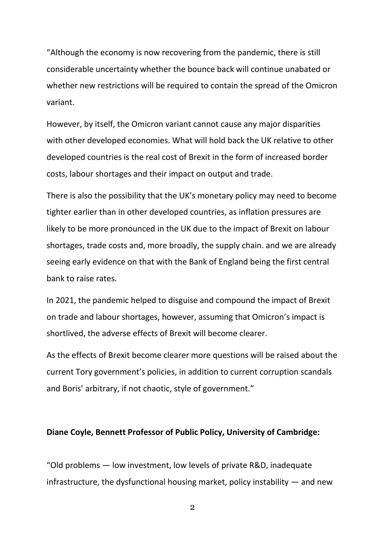"Although the economy is now recovering from the pandemic, there is still considerable uncertainty whether the bounce back will continue unabated or whether new restrictions will be required to contain the spread of the Omicron variant.

However, by itself, the Omicron variant cannot cause any major disparities with other developed economies. What will hold back the UK relative to other developed countries is the real cost of Brexit in the form of increased border costs, labour shortages and their impact on output and trade.

There is also the possibility that the UK's monetary policy may need to become tighter earlier than in other developed countries, as inflation pressures are likely to be more pronounced in the UK due to the impact of Brexit on labour shortages, trade costs and, more broadly, the supply chain. and we are already seeing early evidence on that with the Bank of England being the first central bank to raise rates.

In 2021, the pandemic helped to disguise and compound the impact of Brexit on trade and labour shortages, however, assuming that Omicron's impact is shortlived, the adverse effects of Brexit will become clearer.

As the effects of Brexit become clearer more questions will be raised about the current Tory government's policies, in addition to current corruption scandals and Boris' arbitrary, if not chaotic, style of government."

### **Diane Coyle, Bennett Professor of Public Policy, University of Cambridge:**

"Old problems — low investment, low levels of private R&D, inadequate infrastructure, the dysfunctional housing market, policy instability  $-$  and new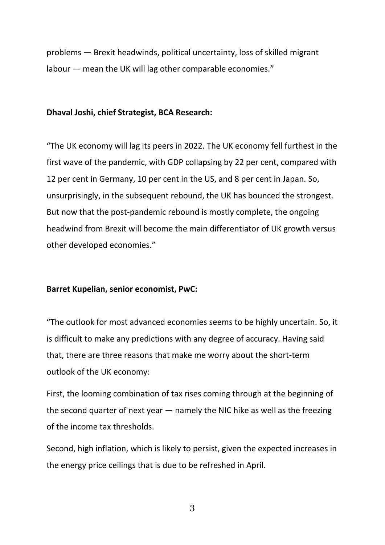problems — Brexit headwinds, political uncertainty, loss of skilled migrant labour — mean the UK will lag other comparable economies."

### **Dhaval Joshi, chief Strategist, BCA Research:**

"The UK economy will lag its peers in 2022. The UK economy fell furthest in the first wave of the pandemic, with GDP collapsing by 22 per cent, compared with 12 per cent in Germany, 10 per cent in the US, and 8 per cent in Japan. So, unsurprisingly, in the subsequent rebound, the UK has bounced the strongest. But now that the post-pandemic rebound is mostly complete, the ongoing headwind from Brexit will become the main differentiator of UK growth versus other developed economies."

### **Barret Kupelian, senior economist, PwC:**

"The outlook for most advanced economies seems to be highly uncertain. So, it is difficult to make any predictions with any degree of accuracy. Having said that, there are three reasons that make me worry about the short-term outlook of the UK economy:

First, the looming combination of tax rises coming through at the beginning of the second quarter of next year — namely the NIC hike as well as the freezing of the income tax thresholds.

Second, high inflation, which is likely to persist, given the expected increases in the energy price ceilings that is due to be refreshed in April.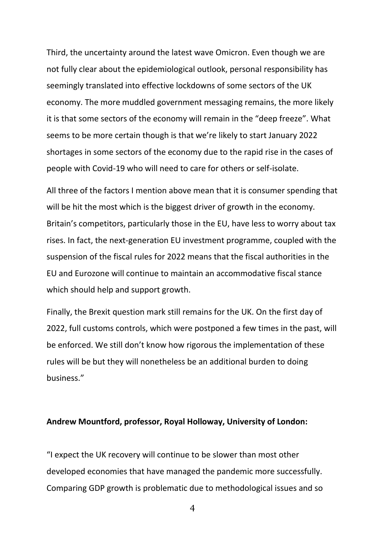Third, the uncertainty around the latest wave Omicron. Even though we are not fully clear about the epidemiological outlook, personal responsibility has seemingly translated into effective lockdowns of some sectors of the UK economy. The more muddled government messaging remains, the more likely it is that some sectors of the economy will remain in the "deep freeze". What seems to be more certain though is that we're likely to start January 2022 shortages in some sectors of the economy due to the rapid rise in the cases of people with Covid-19 who will need to care for others or self-isolate.

All three of the factors I mention above mean that it is consumer spending that will be hit the most which is the biggest driver of growth in the economy. Britain's competitors, particularly those in the EU, have less to worry about tax rises. In fact, the next-generation EU investment programme, coupled with the suspension of the fiscal rules for 2022 means that the fiscal authorities in the EU and Eurozone will continue to maintain an accommodative fiscal stance which should help and support growth.

Finally, the Brexit question mark still remains for the UK. On the first day of 2022, full customs controls, which were postponed a few times in the past, will be enforced. We still don't know how rigorous the implementation of these rules will be but they will nonetheless be an additional burden to doing business."

### **Andrew Mountford, professor, Royal Holloway, University of London:**

"I expect the UK recovery will continue to be slower than most other developed economies that have managed the pandemic more successfully. Comparing GDP growth is problematic due to methodological issues and so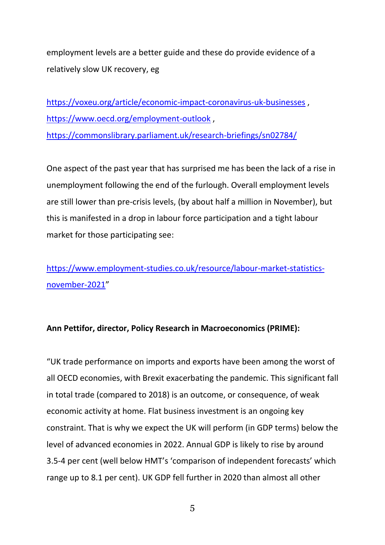employment levels are a better guide and these do provide evidence of a relatively slow UK recovery, eg

<https://voxeu.org/article/economic-impact-coronavirus-uk-businesses>, <https://www.oecd.org/employment-outlook> , <https://commonslibrary.parliament.uk/research-briefings/sn02784/>

One aspect of the past year that has surprised me has been the lack of a rise in unemployment following the end of the furlough. Overall employment levels are still lower than pre-crisis levels, (by about half a million in November), but this is manifested in a drop in labour force participation and a tight labour market for those participating see:

[https://www.employment-studies.co.uk/resource/labour-market-statistics](https://www.employment-studies.co.uk/resource/labour-market-statistics-november-2021)[november-2021](https://www.employment-studies.co.uk/resource/labour-market-statistics-november-2021)"

## **Ann Pettifor, director, Policy Research in Macroeconomics (PRIME):**

"UK trade performance on imports and exports have been among the worst of all OECD economies, with Brexit exacerbating the pandemic. This significant fall in total trade (compared to 2018) is an outcome, or consequence, of weak economic activity at home. Flat business investment is an ongoing key constraint. That is why we expect the UK will perform (in GDP terms) below the level of advanced economies in 2022. Annual GDP is likely to rise by around 3.5-4 per cent (well below HMT's 'comparison of independent forecasts' which range up to 8.1 per cent). UK GDP fell further in 2020 than almost all other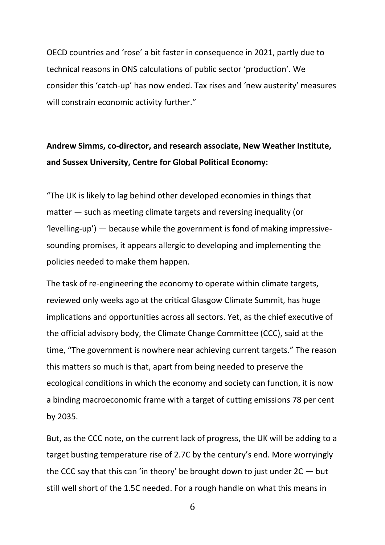OECD countries and 'rose' a bit faster in consequence in 2021, partly due to technical reasons in ONS calculations of public sector 'production'. We consider this 'catch-up' has now ended. Tax rises and 'new austerity' measures will constrain economic activity further."

# **Andrew Simms, co-director, and research associate, New Weather Institute, and Sussex University, Centre for Global Political Economy:**

"The UK is likely to lag behind other developed economies in things that matter — such as meeting climate targets and reversing inequality (or 'levelling-up') — because while the government is fond of making impressivesounding promises, it appears allergic to developing and implementing the policies needed to make them happen.

The task of re-engineering the economy to operate within climate targets, reviewed only weeks ago at the critical Glasgow Climate Summit, has huge implications and opportunities across all sectors. Yet, as the chief executive of the official advisory body, the Climate Change Committee (CCC), said at the time, "The government is nowhere near achieving current targets." The reason this matters so much is that, apart from being needed to preserve the ecological conditions in which the economy and society can function, it is now a binding macroeconomic frame with a target of cutting emissions 78 per cent by 2035.

But, as the CCC note, on the current lack of progress, the UK will be adding to a target busting temperature rise of 2.7C by the century's end. More worryingly the CCC say that this can 'in theory' be brought down to just under  $2C - but$ still well short of the 1.5C needed. For a rough handle on what this means in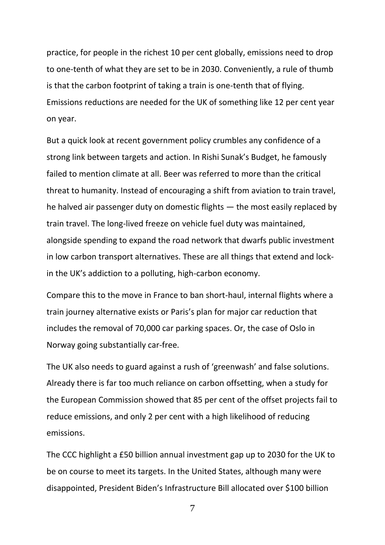practice, for people in the richest 10 per cent globally, emissions need to drop to one-tenth of what they are set to be in 2030. Conveniently, a rule of thumb is that the carbon footprint of taking a train is one-tenth that of flying. Emissions reductions are needed for the UK of something like 12 per cent year on year.

But a quick look at recent government policy crumbles any confidence of a strong link between targets and action. In Rishi Sunak's Budget, he famously failed to mention climate at all. Beer was referred to more than the critical threat to humanity. Instead of encouraging a shift from aviation to train travel, he halved air passenger duty on domestic flights — the most easily replaced by train travel. The long-lived freeze on vehicle fuel duty was maintained, alongside spending to expand the road network that dwarfs public investment in low carbon transport alternatives. These are all things that extend and lockin the UK's addiction to a polluting, high-carbon economy.

Compare this to the move in France to ban short-haul, internal flights where a train journey alternative exists or Paris's plan for major car reduction that includes the removal of 70,000 car parking spaces. Or, the case of Oslo in Norway going substantially car-free.

The UK also needs to guard against a rush of 'greenwash' and false solutions. Already there is far too much reliance on carbon offsetting, when a study for the European Commission showed that 85 per cent of the offset projects fail to reduce emissions, and only 2 per cent with a high likelihood of reducing emissions.

The CCC highlight a £50 billion annual investment gap up to 2030 for the UK to be on course to meet its targets. In the United States, although many were disappointed, President Biden's Infrastructure Bill allocated over \$100 billion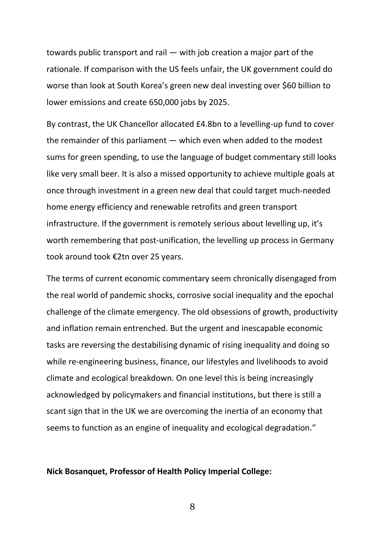towards public transport and rail — with job creation a major part of the rationale. If comparison with the US feels unfair, the UK government could do worse than look at South Korea's green new deal investing over \$60 billion to lower emissions and create 650,000 jobs by 2025.

By contrast, the UK Chancellor allocated £4.8bn to a levelling-up fund to cover the remainder of this parliament — which even when added to the modest sums for green spending, to use the language of budget commentary still looks like very small beer. It is also a missed opportunity to achieve multiple goals at once through investment in a green new deal that could target much-needed home energy efficiency and renewable retrofits and green transport infrastructure. If the government is remotely serious about levelling up, it's worth remembering that post-unification, the levelling up process in Germany took around took €2tn over 25 years.

The terms of current economic commentary seem chronically disengaged from the real world of pandemic shocks, corrosive social inequality and the epochal challenge of the climate emergency. The old obsessions of growth, productivity and inflation remain entrenched. But the urgent and inescapable economic tasks are reversing the destabilising dynamic of rising inequality and doing so while re-engineering business, finance, our lifestyles and livelihoods to avoid climate and ecological breakdown. On one level this is being increasingly acknowledged by policymakers and financial institutions, but there is still a scant sign that in the UK we are overcoming the inertia of an economy that seems to function as an engine of inequality and ecological degradation."

### **Nick Bosanquet, Professor of Health Policy Imperial College:**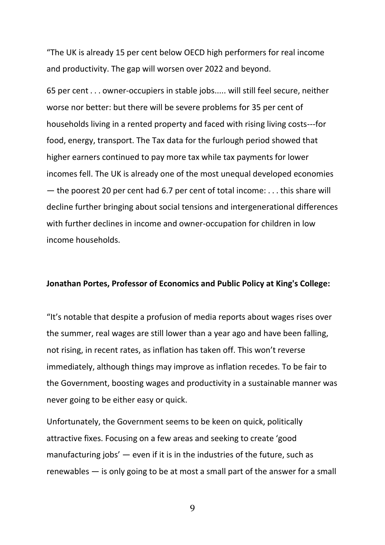"The UK is already 15 per cent below OECD high performers for real income and productivity. The gap will worsen over 2022 and beyond.

65 per cent . . . owner-occupiers in stable jobs..... will still feel secure, neither worse nor better: but there will be severe problems for 35 per cent of households living in a rented property and faced with rising living costs---for food, energy, transport. The Tax data for the furlough period showed that higher earners continued to pay more tax while tax payments for lower incomes fell. The UK is already one of the most unequal developed economies — the poorest 20 per cent had 6.7 per cent of total income: . . . this share will decline further bringing about social tensions and intergenerational differences with further declines in income and owner-occupation for children in low income households.

### **Jonathan Portes, Professor of Economics and Public Policy at King's College:**

"It's notable that despite a profusion of media reports about wages rises over the summer, real wages are still lower than a year ago and have been falling, not rising, in recent rates, as inflation has taken off. This won't reverse immediately, although things may improve as inflation recedes. To be fair to the Government, boosting wages and productivity in a sustainable manner was never going to be either easy or quick.

Unfortunately, the Government seems to be keen on quick, politically attractive fixes. Focusing on a few areas and seeking to create 'good manufacturing jobs'  $-$  even if it is in the industries of the future, such as renewables — is only going to be at most a small part of the answer for a small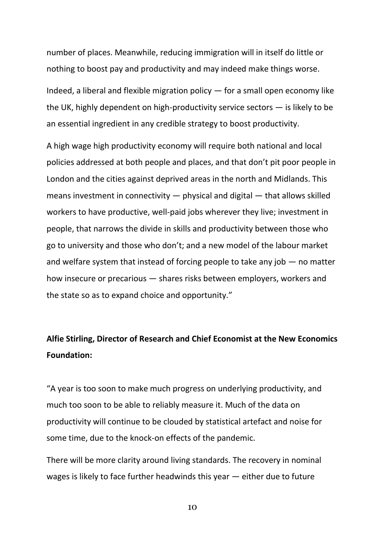number of places. Meanwhile, reducing immigration will in itself do little or nothing to boost pay and productivity and may indeed make things worse.

Indeed, a liberal and flexible migration policy — for a small open economy like the UK, highly dependent on high-productivity service sectors — is likely to be an essential ingredient in any credible strategy to boost productivity.

A high wage high productivity economy will require both national and local policies addressed at both people and places, and that don't pit poor people in London and the cities against deprived areas in the north and Midlands. This means investment in connectivity — physical and digital — that allows skilled workers to have productive, well-paid jobs wherever they live; investment in people, that narrows the divide in skills and productivity between those who go to university and those who don't; and a new model of the labour market and welfare system that instead of forcing people to take any job — no matter how insecure or precarious — shares risks between employers, workers and the state so as to expand choice and opportunity."

# **Alfie Stirling, Director of Research and Chief Economist at the New Economics Foundation:**

"A year is too soon to make much progress on underlying productivity, and much too soon to be able to reliably measure it. Much of the data on productivity will continue to be clouded by statistical artefact and noise for some time, due to the knock-on effects of the pandemic.

There will be more clarity around living standards. The recovery in nominal wages is likely to face further headwinds this year — either due to future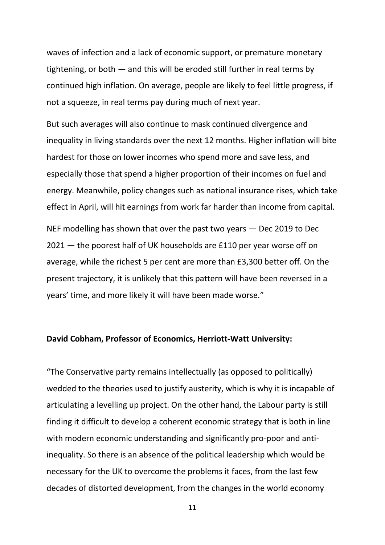waves of infection and a lack of economic support, or premature monetary tightening, or both — and this will be eroded still further in real terms by continued high inflation. On average, people are likely to feel little progress, if not a squeeze, in real terms pay during much of next year.

But such averages will also continue to mask continued divergence and inequality in living standards over the next 12 months. Higher inflation will bite hardest for those on lower incomes who spend more and save less, and especially those that spend a higher proportion of their incomes on fuel and energy. Meanwhile, policy changes such as national insurance rises, which take effect in April, will hit earnings from work far harder than income from capital.

NEF modelling has shown that over the past two years — Dec 2019 to Dec 2021 — the poorest half of UK households are £110 per year worse off on average, while the richest 5 per cent are more than £3,300 better off. On the present trajectory, it is unlikely that this pattern will have been reversed in a years' time, and more likely it will have been made worse."

### **David Cobham, Professor of Economics, Herriott-Watt University:**

"The Conservative party remains intellectually (as opposed to politically) wedded to the theories used to justify austerity, which is why it is incapable of articulating a levelling up project. On the other hand, the Labour party is still finding it difficult to develop a coherent economic strategy that is both in line with modern economic understanding and significantly pro-poor and antiinequality. So there is an absence of the political leadership which would be necessary for the UK to overcome the problems it faces, from the last few decades of distorted development, from the changes in the world economy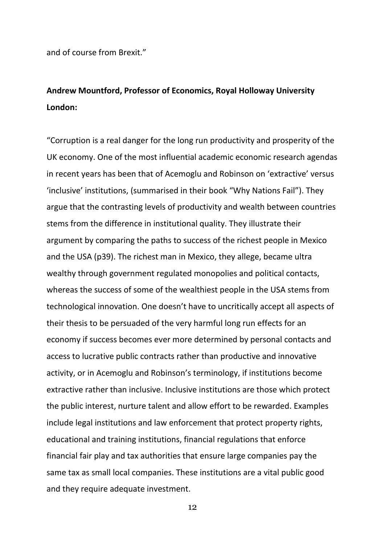and of course from Brexit."

# **Andrew Mountford, Professor of Economics, Royal Holloway University London:**

"Corruption is a real danger for the long run productivity and prosperity of the UK economy. One of the most influential academic economic research agendas in recent years has been that of Acemoglu and Robinson on 'extractive' versus 'inclusive' institutions, (summarised in their book "Why Nations Fail"). They argue that the contrasting levels of productivity and wealth between countries stems from the difference in institutional quality. They illustrate their argument by comparing the paths to success of the richest people in Mexico and the USA (p39). The richest man in Mexico, they allege, became ultra wealthy through government regulated monopolies and political contacts, whereas the success of some of the wealthiest people in the USA stems from technological innovation. One doesn't have to uncritically accept all aspects of their thesis to be persuaded of the very harmful long run effects for an economy if success becomes ever more determined by personal contacts and access to lucrative public contracts rather than productive and innovative activity, or in Acemoglu and Robinson's terminology, if institutions become extractive rather than inclusive. Inclusive institutions are those which protect the public interest, nurture talent and allow effort to be rewarded. Examples include legal institutions and law enforcement that protect property rights, educational and training institutions, financial regulations that enforce financial fair play and tax authorities that ensure large companies pay the same tax as small local companies. These institutions are a vital public good and they require adequate investment.